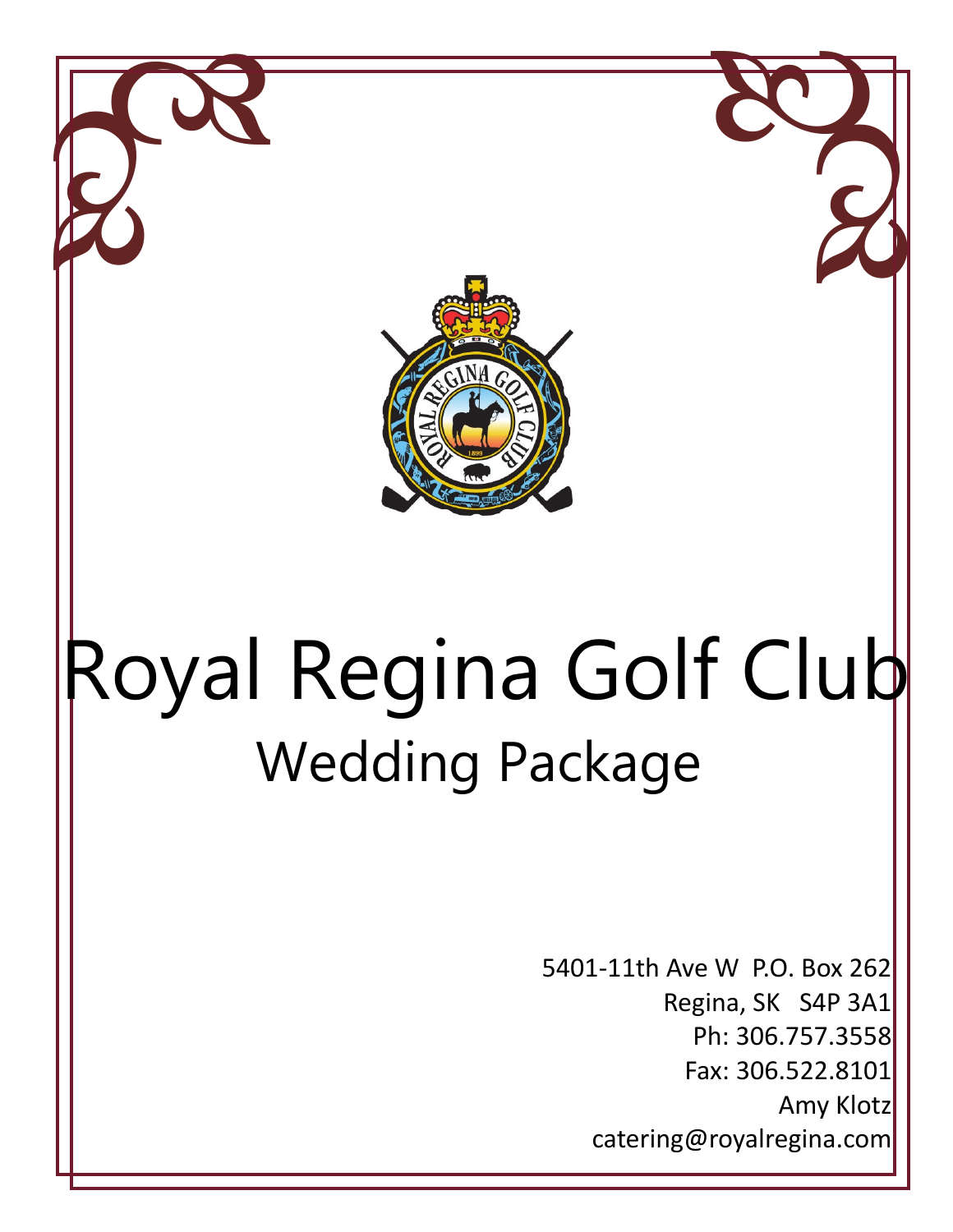

# Wedding Package Royal Regina Golf Club

5401-11th Ave W P.O. Box 262 Regina, SK S4P 3A1 Ph: 306.757.3558 Fax: 306.522.8101 Amy Klotz catering@royalregina.com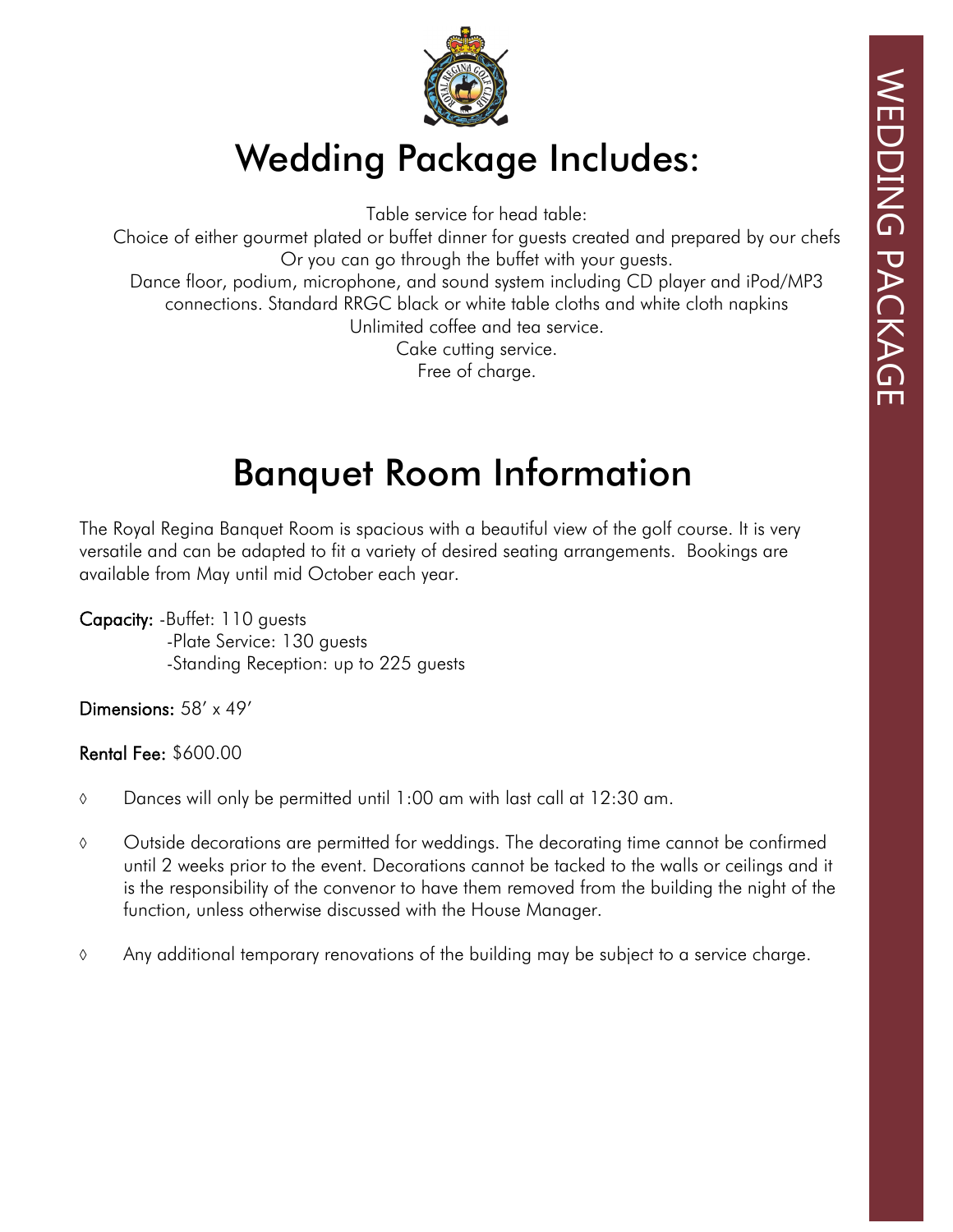

### Wedding Package Includes:

Table service for head table:

Choice of either gourmet plated or buffet dinner for guests created and prepared by our chefs Or you can go through the buffet with your guests. Dance floor, podium, microphone, and sound system including CD player and iPod/MP3

connections. Standard RRGC black or white table cloths and white cloth napkins Unlimited coffee and tea service.

Cake cutting service.

Free of charge.

### Banquet Room Information

The Royal Regina Banquet Room is spacious with a beautiful view of the golf course. It is very versatile and can be adapted to fit a variety of desired seating arrangements. Bookings are available from May until mid October each year.

Capacity: -Buffet: 110 guests -Plate Service: 130 guests -Standing Reception: up to 225 guests

Dimensions: 58' x 49'

Rental Fee: \$600.00

- $\circ$  Dances will only be permitted until 1:00 am with last call at 12:30 am.
- Outside decorations are permitted for weddings. The decorating time cannot be confirmed until 2 weeks prior to the event. Decorations cannot be tacked to the walls or ceilings and it is the responsibility of the convenor to have them removed from the building the night of the function, unless otherwise discussed with the House Manager.
- Any additional temporary renovations of the building may be subject to a service charge.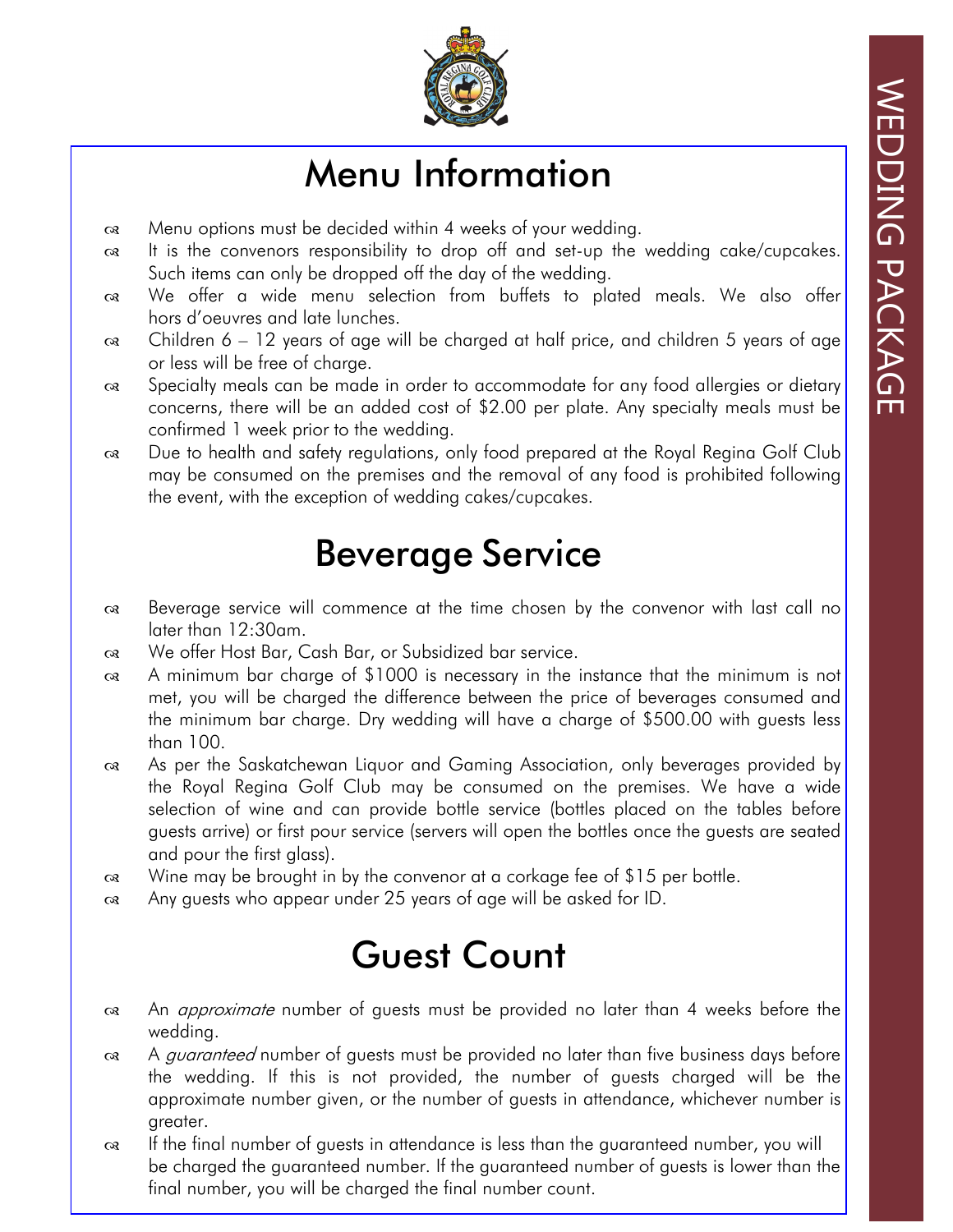

## Menu Information

- Menu options must be decided within 4 weeks of your wedding.
- $\alpha$  It is the convenors responsibility to drop off and set-up the wedding cake/cupcakes. Such items can only be dropped off the day of the wedding.
- We offer a wide menu selection from buffets to plated meals. We also offer hors d'oeuvres and late lunches.
- $\alpha$  Children 6 12 years of age will be charged at half price, and children 5 years of age or less will be free of charge.
- $\infty$  Specialty meals can be made in order to accommodate for any food allergies or dietary concerns, there will be an added cost of \$2.00 per plate. Any specialty meals must be confirmed 1 week prior to the wedding.
- Due to health and safety regulations, only food prepared at the Royal Regina Golf Club may be consumed on the premises and the removal of any food is prohibited following the event, with the exception of wedding cakes/cupcakes.

### Beverage Service

- Beverage service will commence at the time chosen by the convenor with last call no later than 12:30am.
- We offer Host Bar, Cash Bar, or Subsidized bar service.
- A minimum bar charge of \$1000 is necessary in the instance that the minimum is not met, you will be charged the difference between the price of beverages consumed and the minimum bar charge. Dry wedding will have a charge of \$500.00 with guests less than 100.
- As per the Saskatchewan Liquor and Gaming Association, only beverages provided by the Royal Regina Golf Club may be consumed on the premises. We have a wide selection of wine and can provide bottle service (bottles placed on the tables before guests arrive) or first pour service (servers will open the bottles once the guests are seated and pour the first glass).
- $\alpha$ . Wine may be brought in by the convenor at a corkage fee of \$15 per bottle.
- Any guests who appear under 25 years of age will be asked for ID.

### Guest Count

- a An *approximate* number of guests must be provided no later than 4 weeks before the wedding.
- $\alpha$  A *quaranteed* number of quests must be provided no later than five business days before the wedding. If this is not provided, the number of guests charged will be the approximate number given, or the number of guests in attendance, whichever number is greater.
- oa If the final number of guests in attendance is less than the guaranteed number, you will be charged the guaranteed number. If the guaranteed number of guests is lower than the final number, you will be charged the final number count.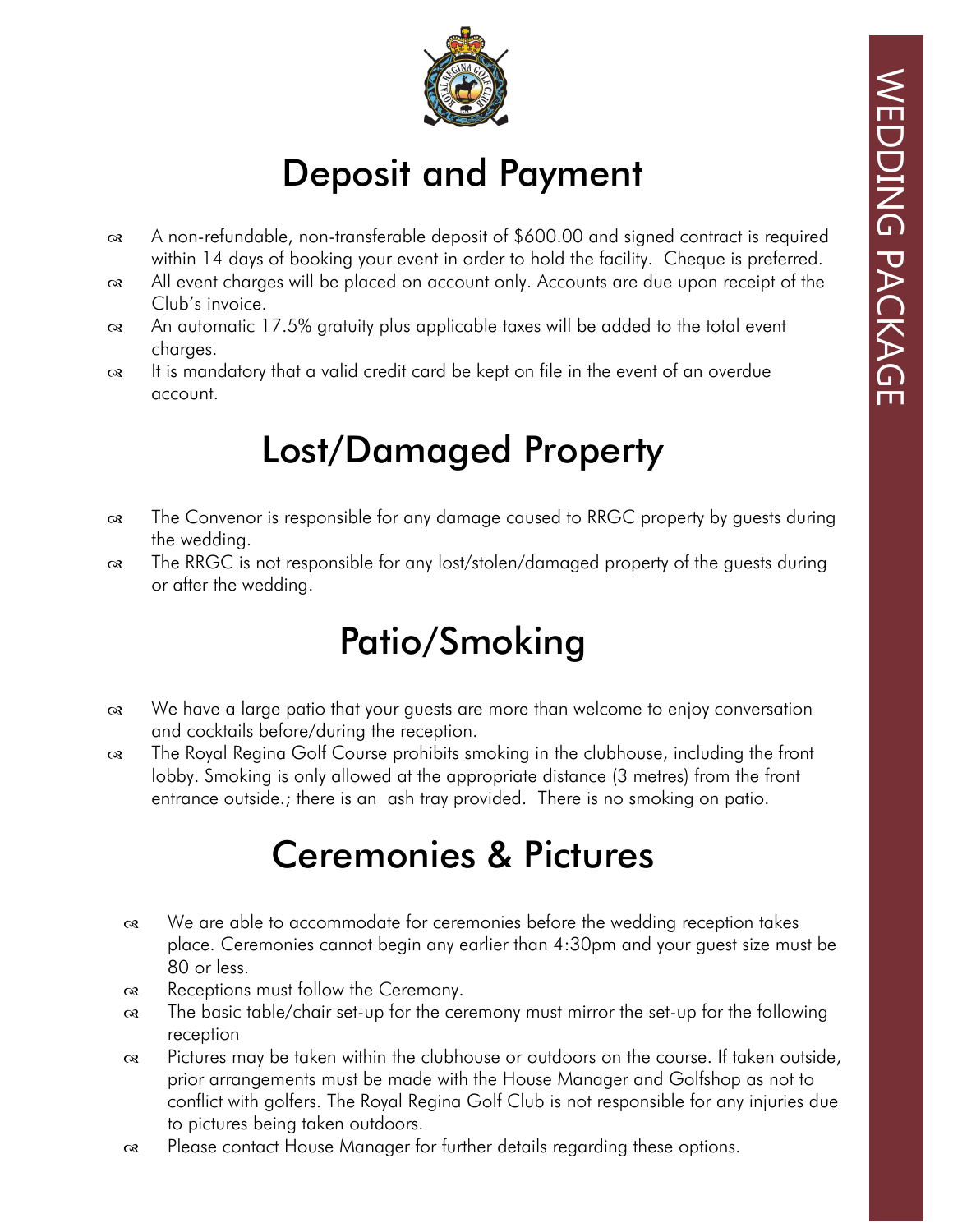

# Deposit and Payment

- A non-refundable, non-transferable deposit of \$600.00 and signed contract is required within 14 days of booking your event in order to hold the facility. Cheque is preferred.
- All event charges will be placed on account only. Accounts are due upon receipt of the Club's invoice.
- An automatic 17.5% gratuity plus applicable taxes will be added to the total event charges.
- It is mandatory that a valid credit card be kept on file in the event of an overdue account.

### Lost/Damaged Property

- The Convenor is responsible for any damage caused to RRGC property by guests during the wedding.
- The RRGC is not responsible for any lost/stolen/damaged property of the guests during or after the wedding.

# Patio/Smoking

- We have a large patio that your guests are more than welcome to enjoy conversation and cocktails before/during the reception.
- The Royal Regina Golf Course prohibits smoking in the clubhouse, including the front lobby. Smoking is only allowed at the appropriate distance (3 metres) from the front entrance outside.; there is an ash tray provided. There is no smoking on patio.

# Ceremonies & Pictures

- We are able to accommodate for ceremonies before the wedding reception takes place. Ceremonies cannot begin any earlier than 4:30pm and your guest size must be 80 or less.
- $\infty$  Receptions must follow the Ceremony.
- The basic table/chair set-up for the ceremony must mirror the set-up for the following reception
- Pictures may be taken within the clubhouse or outdoors on the course. If taken outside, prior arrangements must be made with the House Manager and Golfshop as not to conflict with golfers. The Royal Regina Golf Club is not responsible for any injuries due to pictures being taken outdoors.
- Please contact House Manager for further details regarding these options.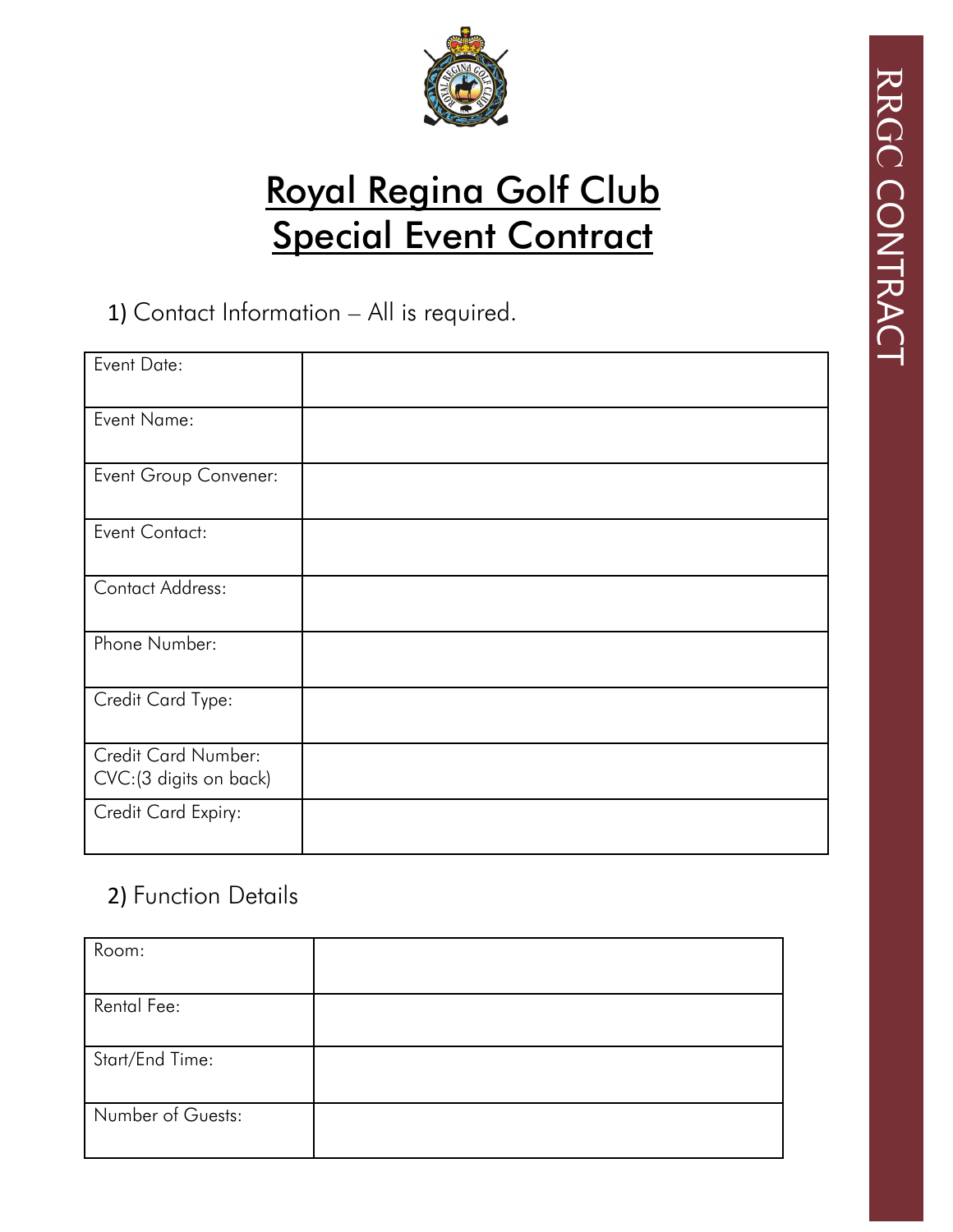

# Royal Regina Golf Club **Special Event Contract**

#### 1) Contact Information – All is required.

| Event Date:                                    |  |
|------------------------------------------------|--|
| Event Name:                                    |  |
| Event Group Convener:                          |  |
| <b>Event Contact:</b>                          |  |
| <b>Contact Address:</b>                        |  |
| Phone Number:                                  |  |
| Credit Card Type:                              |  |
| Credit Card Number:<br>CVC: (3 digits on back) |  |
| Credit Card Expiry:                            |  |

### 2) Function Details

| Room:             |  |
|-------------------|--|
|                   |  |
| Rental Fee:       |  |
|                   |  |
| Start/End Time:   |  |
|                   |  |
| Number of Guests: |  |
|                   |  |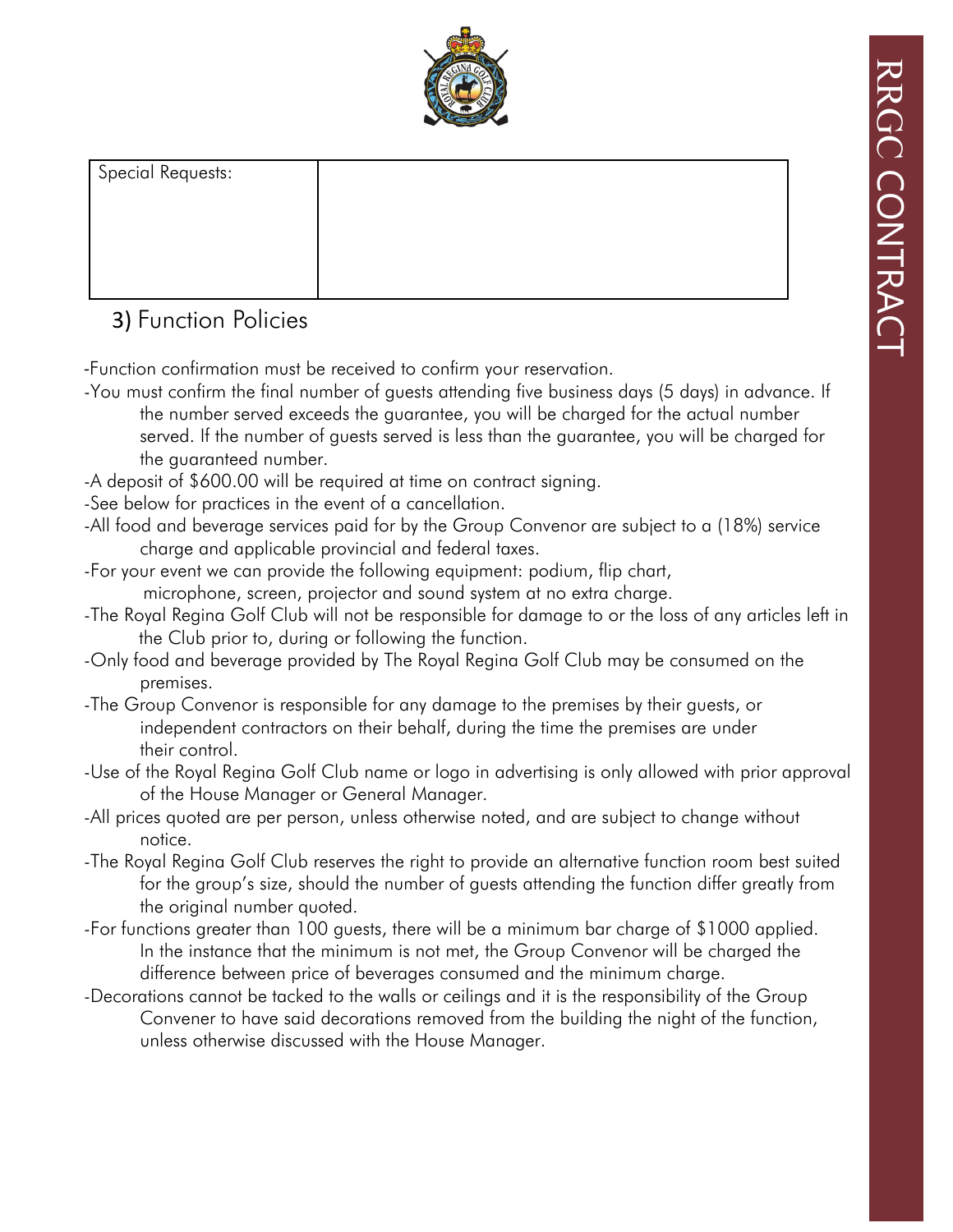

| Special Requests: |  |
|-------------------|--|
|                   |  |
|                   |  |
|                   |  |
|                   |  |

#### 3) Function Policies

-Function confirmation must be received to confirm your reservation.

- -You must confirm the final number of guests attending five business days (5 days) in advance. If the number served exceeds the guarantee, you will be charged for the actual number served. If the number of guests served is less than the guarantee, you will be charged for the guaranteed number.
- -A deposit of \$600.00 will be required at time on contract signing.
- -See below for practices in the event of a cancellation.
- -All food and beverage services paid for by the Group Convenor are subject to a (18%) service charge and applicable provincial and federal taxes.
- -For your event we can provide the following equipment: podium, flip chart,

microphone, screen, projector and sound system at no extra charge.

- -The Royal Regina Golf Club will not be responsible for damage to or the loss of any articles left in the Club prior to, during or following the function.
- -Only food and beverage provided by The Royal Regina Golf Club may be consumed on the premises.
- -The Group Convenor is responsible for any damage to the premises by their guests, or independent contractors on their behalf, during the time the premises are under their control.
- -Use of the Royal Regina Golf Club name or logo in advertising is only allowed with prior approval of the House Manager or General Manager.
- -All prices quoted are per person, unless otherwise noted, and are subject to change without notice.
- -The Royal Regina Golf Club reserves the right to provide an alternative function room best suited for the group's size, should the number of guests attending the function differ greatly from the original number quoted.
- -For functions greater than 100 guests, there will be a minimum bar charge of \$1000 applied. In the instance that the minimum is not met, the Group Convenor will be charged the difference between price of beverages consumed and the minimum charge.
- -Decorations cannot be tacked to the walls or ceilings and it is the responsibility of the Group Convener to have said decorations removed from the building the night of the function, unless otherwise discussed with the House Manager.